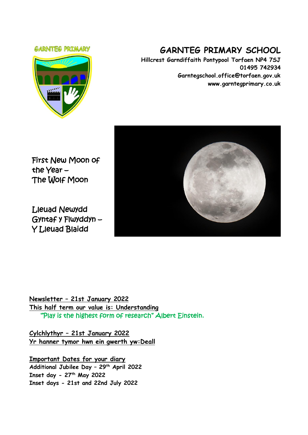#### **GARNTEG PRIMARY**



# **GARNTEG PRIMARY SCHOOL**

**Hillcrest Garndiffaith Pontypool Torfaen NP4 7SJ 01495 742934 Garntegschool.office@torfaen.gov.uk www.garntegprimary.co.uk**

First New Moon of the Year – The Wolf Moon

Lleuad Newydd Gyntaf y Flwyddyn – Y Lleuad Blaidd



**Newsletter – 21st January 2022 This half term our value is: Understanding** "Play is the highest form of research" Albert Einstein.

**Cylchlythyr – 21st January 2022 Yr hanner tymor hwn ein gwerth yw:Deall**

**Important Dates for your diary Additional Jubilee Day – 29th April 2022 Inset day - 27th May 2022 Inset days - 21st and 22nd July 2022**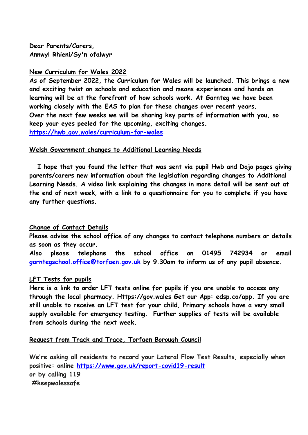**Dear Parents/Carers, Annwyl Rhieni/Sy'n ofalwyr**

# **New Curriculum for Wales 2022**

**As of September 2022, the Curriculum for Wales will be launched. This brings a new and exciting twist on schools and education and means experiences and hands on learning will be at the forefront of how schools work. At Garnteg we have been working closely with the EAS to plan for these changes over recent years. Over the next few weeks we will be sharing key parts of information with you, so keep your eyes peeled for the upcoming, exciting changes. <https://hwb.gov.wales/curriculum-for-wales>**

# **Welsh Government changes to Additional Learning Needs**

 **I hope that you found the letter that was sent via pupil Hwb and Dojo pages giving parents/carers new information about the legislation regarding changes to Additional Learning Needs. A video link explaining the changes in more detail will be sent out at the end of next week, with a link to a questionnaire for you to complete if you have any further questions.**

# **Change of Contact Details**

**Please advise the school office of any changes to contact telephone numbers or details as soon as they occur.** 

**Also please telephone the school office on 01495 742934 or email [garntegschool.office@torfaen.gov.uk](mailto:garntegschool.office@torfaen.gov.uk) by 9.30am to inform us of any pupil absence.**

# **LFT Tests for pupils**

**Here is a link to order LFT tests online for pupils if you are unable to access any through the local pharmacy. Https://gov.wales Get our App: edsp.co/app. If you are still unable to receive an LFT test for your child, Primary schools have a very small supply available for emergency testing. Further supplies of tests will be available from schools during the next week.**

# **Request from Track and Trace, Torfaen Borough Council**

**We're asking all residents to record your Lateral Flow Test Results, especially when positive: online [https://www.gov.uk/report-covid19-result](https://eur03.safelinks.protection.outlook.com/?url=https%3A%2F%2Fscanmail.trustwave.com%2F%3Fc%3D261%26d%3DzLvc4fCyhjZft3Z9E_k9Mt_moCL0tnrCFqEYNAiykg%26u%3Dhttps%253a%252f%252femea01.safelinks.protection.outlook.com%252f%253furl%253dhttps%25253A%25252F%25252Fwww.gov.uk%25252Freport-covid19-result%2526data%253d04%25257C01%25257C%25257Ce5f565d7534b4691b74608d9d43f3811%25257C84df9e7fe9f640afb435aaaaaaaaaaaa%25257C1%25257C0%25257C637774190252669384%25257CUnknown%25257CTWFpbGZsb3d8eyJWIjoiMC4wLjAwMDAiLCJQIjoiV2luMzIiLCJBTiI6Ik1haWwiLCJXVCI6Mn0%25253D%25257C3000%2526sdata%253dqftNUncb9TmeugmOV50U00SjpKBAGP2KucQJyzx%25252Bupo%25253D%2526reserved%253d0&data=04%7C01%7CSharron.Williams%40torfaen.gov.uk%7C6c427a428e094bcf6cb108d9d6a015cb%7C2c4d0079c52c4bb3b3cad8eaf1b6b7d5%7C0%7C0%7C637776805314522285%7CUnknown%7CTWFpbGZsb3d8eyJWIjoiMC4wLjAwMDAiLCJQIjoiV2luMzIiLCJBTiI6Ik1haWwiLCJXVCI6Mn0%3D%7C3000&sdata=TofgKOVmjydR7IoCB1pTW4PhPDoiOrC26dJp0JDzAfU%3D&reserved=0) or by calling 119 #keepwalessafe**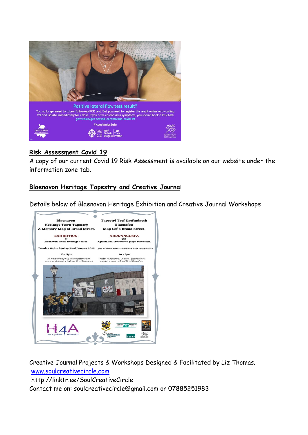

# **Risk Assessment Covid 19**

A copy of our current Covid 19 Risk Assessment is available on our website under the information zone tab.

# **Blaenavon Heritage Tapestry and Creative Journa**l

Details below of Blaenavon Heritage Exhibition and Creative Journal Workshops



Creative Journal Projects & Workshops Designed & Facilitated by Liz Thomas. [www.soulcreativecircle.com](http://www.soulcreativecircle.com/) http://linktr.ee/SoulCreativeCircle Contact me on: soulcreativecircle@gmail.com or 07885251983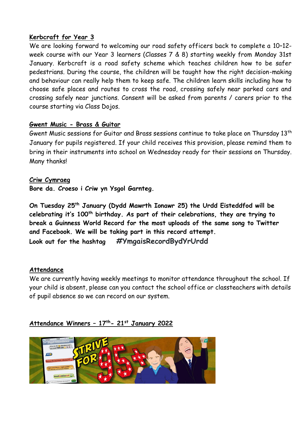# **Kerbcraft for Year 3**

We are looking forward to welcoming our road safety officers back to complete a 10–12 week course with our Year 3 learners (Classes 7 & 8) starting weekly from Monday 31st January. Kerbcraft is a road safety scheme which teaches children how to be safer pedestrians. During the course, the children will be taught how the right decision-making and behaviour can really help them to keep safe. The children learn skills including how to choose safe places and routes to cross the road, crossing safely near parked cars and crossing safely near junctions. Consent will be asked from parents / carers prior to the course starting via Class Dojos.

# **Gwent Music - Brass & Guitar**

Gwent Music sessions for Guitar and Brass sessions continue to take place on Thursday 13th January for pupils registered. If your child receives this provision, please remind them to bring in their instruments into school on Wednesday ready for their sessions on Thursday. Many thanks!

**Criw Cymraeg Bore da. Croeso i Criw yn Ysgol Garnteg.** 

**On Tuesday 25th January (Dydd Mawrth Ionawr 25) the Urdd Eisteddfod will be celebrating it's 100th birthday. As part of their celebrations, they are trying to break a Guinness World Record for the most uploads of the same song to Twitter and Facebook. We will be taking part in this record attempt. Look out for the hashtag #YmgaisRecordBydYrUrdd**

# **Attendance**

We are currently having weekly meetings to monitor attendance throughout the school. If your child is absent, please can you contact the school office or classteachers with details of pupil absence so we can record on our system.

# **Attendance Winners – 17th- 21st January 2022**

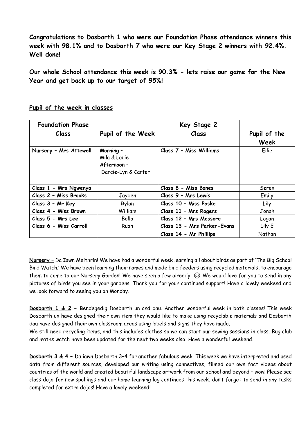**Congratulations to Dosbarth 1 who were our Foundation Phase attendance winners this week with 98.1% and to Dosbarth 7 who were our Key Stage 2 winners with 92.4%. Well done!**

**Our whole School attendance this week is 90.3% - lets raise our game for the New Year and get back up to our target of 95%!**

| <b>Foundation Phase</b> |                                                                 | Key Stage 2                 |                      |
|-------------------------|-----------------------------------------------------------------|-----------------------------|----------------------|
| <i>C</i> lass           | Pupil of the Week                                               | Class                       | Pupil of the<br>Week |
| Nursery - Mrs Attewell  | Morning -<br>Mila & Louie<br>Afternoon -<br>Darcie-Lyn & Carter | Class 7 - Miss Williams     | Ellie                |
| Class 1 - Mrs Ngwenya   |                                                                 | Class 8 - Miss Bones        | Seren                |
| Class 2 - Miss Brooks   | Jayden                                                          | Class 9 - Mrs Lewis         | Emily                |
| Class 3 - Mr Key        | Rylan                                                           | Class 10 - Miss Paske       | Lily                 |
| Class 4 - Miss Brown    | William                                                         | Class 11 - Mrs Rogers       | Jonah                |
| Class 5 - Mrs Lee       | Bella                                                           | Class 12 - Mrs Messore      | Logan                |
| Class 6 - Miss Carroll  | Ruan                                                            | Class 13 - Mrs Parker-Evans | Lily E               |
|                         |                                                                 | Class 14 - Mr Phillips      | Nathan               |

#### **Pupil of the week in classes**

**Nursery –** Da Iawn Meithrin! We have had a wonderful week learning all about birds as part of 'The Big School Bird Watch.' We have been learning their names and made bird feeders using recycled materials, to encourage them to come to our Nursery Garden! We have seen a few already!  $\circledS$  We would love for you to send in any pictures of birds you see in your gardens. Thank you for your continued support! Have a lovely weekend and we look forward to seeing you on Monday.

**Dosbarth 1 & 2 –** Bendegedig Dosbarth un and dau. Another wonderful week in both classes! This week Dosbarth un have designed their own item they would like to make using recyclable materials and Dosbarth dau have designed their own classroom areas using labels and signs they have made.

We still need recycling items, and this includes clothes so we can start our sewing sessions in class. Bug club and maths watch have been updated for the next two weeks also. Have a wonderful weekend.

**Dosbarth 3 & 4 –** Da iawn Dosbarth 3+4 for another fabulous week! This week we have interpreted and used data from different sources, developed our writing using connectives, filmed our own fact videos about countries of the world and created beautiful landscape artwork from our school and beyond – wow! Please see class dojo for new spellings and our home learning log continues this week, don't forget to send in any tasks completed for extra dojos! Have a lovely weekend!